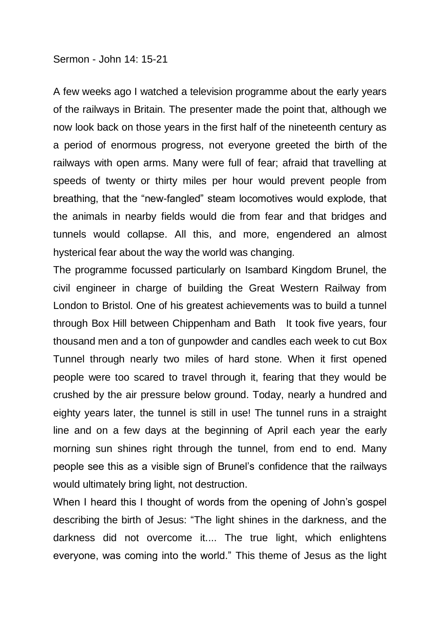## Sermon - John 14: 15-21

A few weeks ago I watched a television programme about the early years of the railways in Britain. The presenter made the point that, although we now look back on those years in the first half of the nineteenth century as a period of enormous progress, not everyone greeted the birth of the railways with open arms. Many were full of fear; afraid that travelling at speeds of twenty or thirty miles per hour would prevent people from breathing, that the "new-fangled" steam locomotives would explode, that the animals in nearby fields would die from fear and that bridges and tunnels would collapse. All this, and more, engendered an almost hysterical fear about the way the world was changing.

The programme focussed particularly on Isambard Kingdom Brunel, the civil engineer in charge of building the Great Western Railway from London to Bristol. One of his greatest achievements was to build a tunnel through Box Hill between Chippenham and Bath It took five years, four thousand men and a ton of gunpowder and candles each week to cut Box Tunnel through nearly two miles of hard stone. When it first opened people were too scared to travel through it, fearing that they would be crushed by the air pressure below ground. Today, nearly a hundred and eighty years later, the tunnel is still in use! The tunnel runs in a straight line and on a few days at the beginning of April each year the early morning sun shines right through the tunnel, from end to end. Many people see this as a visible sign of Brunel's confidence that the railways would ultimately bring light, not destruction.

When I heard this I thought of words from the opening of John's gospel describing the birth of Jesus: "The light shines in the darkness, and the darkness did not overcome it.... The true light, which enlightens everyone, was coming into the world." This theme of Jesus as the light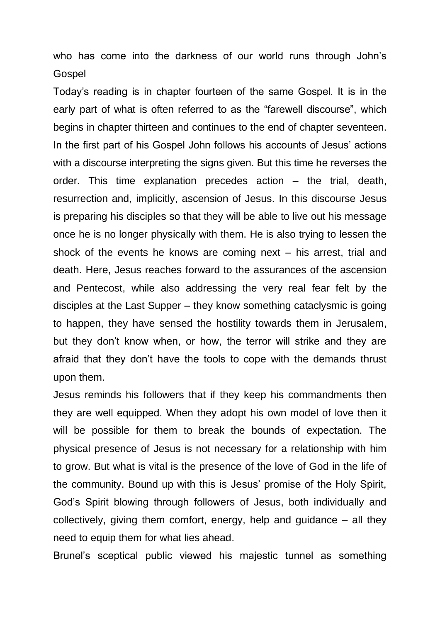who has come into the darkness of our world runs through John's Gospel

Today's reading is in chapter fourteen of the same Gospel. It is in the early part of what is often referred to as the "farewell discourse", which begins in chapter thirteen and continues to the end of chapter seventeen. In the first part of his Gospel John follows his accounts of Jesus' actions with a discourse interpreting the signs given. But this time he reverses the order. This time explanation precedes action – the trial, death, resurrection and, implicitly, ascension of Jesus. In this discourse Jesus is preparing his disciples so that they will be able to live out his message once he is no longer physically with them. He is also trying to lessen the shock of the events he knows are coming next – his arrest, trial and death. Here, Jesus reaches forward to the assurances of the ascension and Pentecost, while also addressing the very real fear felt by the disciples at the Last Supper – they know something cataclysmic is going to happen, they have sensed the hostility towards them in Jerusalem, but they don't know when, or how, the terror will strike and they are afraid that they don't have the tools to cope with the demands thrust upon them.

Jesus reminds his followers that if they keep his commandments then they are well equipped. When they adopt his own model of love then it will be possible for them to break the bounds of expectation. The physical presence of Jesus is not necessary for a relationship with him to grow. But what is vital is the presence of the love of God in the life of the community. Bound up with this is Jesus' promise of the Holy Spirit, God's Spirit blowing through followers of Jesus, both individually and collectively, giving them comfort, energy, help and guidance – all they need to equip them for what lies ahead.

Brunel's sceptical public viewed his majestic tunnel as something